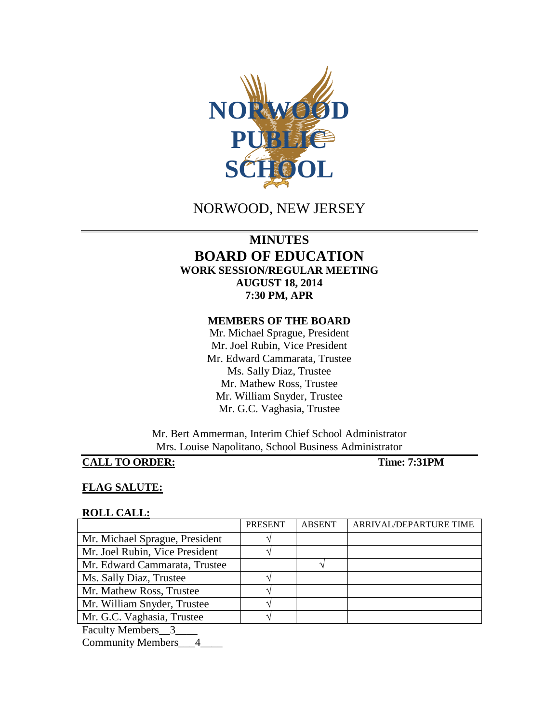

# NORWOOD, NEW JERSEY

## **MINUTES BOARD OF EDUCATION WORK SESSION/REGULAR MEETING AUGUST 18, 2014 7:30 PM, APR**

#### **MEMBERS OF THE BOARD**

Mr. Michael Sprague, President Mr. Joel Rubin, Vice President Mr. Edward Cammarata, Trustee Ms. Sally Diaz, Trustee Mr. Mathew Ross, Trustee Mr. William Snyder, Trustee Mr. G.C. Vaghasia, Trustee

Mr. Bert Ammerman, Interim Chief School Administrator Mrs. Louise Napolitano, School Business Administrator

#### **CALL TO ORDER: Time: 7:31PM**

#### **FLAG SALUTE:**

#### **ROLL CALL:**

|                                | <b>PRESENT</b> | <b>ABSENT</b> | ARRIVAL/DEPARTURE TIME |
|--------------------------------|----------------|---------------|------------------------|
| Mr. Michael Sprague, President |                |               |                        |
| Mr. Joel Rubin, Vice President |                |               |                        |
| Mr. Edward Cammarata, Trustee  |                |               |                        |
| Ms. Sally Diaz, Trustee        |                |               |                        |
| Mr. Mathew Ross, Trustee       |                |               |                        |
| Mr. William Snyder, Trustee    |                |               |                        |
| Mr. G.C. Vaghasia, Trustee     |                |               |                        |
| Faculty Members 3              |                |               |                        |
| <b>Community Members</b>       |                |               |                        |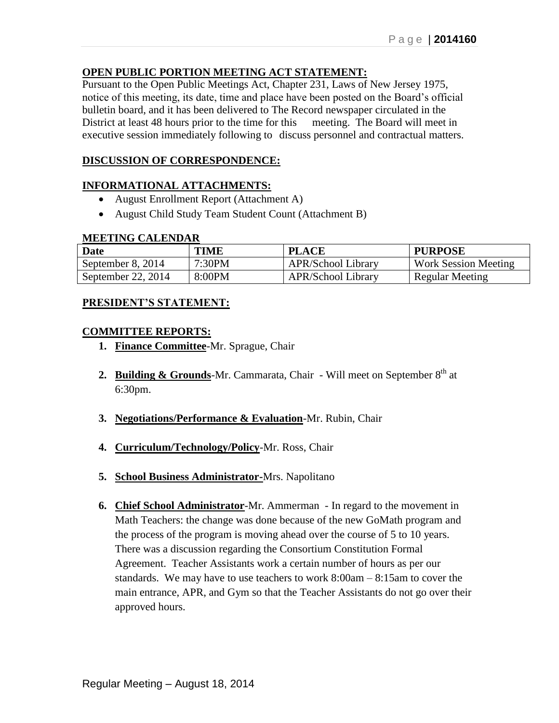## **OPEN PUBLIC PORTION MEETING ACT STATEMENT:**

Pursuant to the Open Public Meetings Act, Chapter 231, Laws of New Jersey 1975, notice of this meeting, its date, time and place have been posted on the Board's official bulletin board, and it has been delivered to The Record newspaper circulated in the District at least 48 hours prior to the time for this meeting. The Board will meet in executive session immediately following to discuss personnel and contractual matters.

## **DISCUSSION OF CORRESPONDENCE:**

#### **INFORMATIONAL ATTACHMENTS:**

- August Enrollment Report (Attachment A)
- August Child Study Team Student Count (Attachment B)

#### **MEETING CALENDAR**

| <b>Date</b>          | <b>TIME</b> | <b>PLACE</b>              | <b>PURPOSE</b>              |
|----------------------|-------------|---------------------------|-----------------------------|
| September 8, 2014    | 7:30PM      | <b>APR/School Library</b> | <b>Work Session Meeting</b> |
| September 22, $2014$ | 8:00PM      | <b>APR/School Library</b> | Regular Meeting             |

#### **PRESIDENT'S STATEMENT:**

#### **COMMITTEE REPORTS:**

- **1. Finance Committee**-Mr. Sprague, Chair
- **2. Building & Grounds**-Mr. Cammarata, Chair Will meet on September 8<sup>th</sup> at 6:30pm.
- **3. Negotiations/Performance & Evaluation**-Mr. Rubin, Chair
- **4. Curriculum/Technology/Policy**-Mr. Ross, Chair
- **5. School Business Administrator-**Mrs. Napolitano
- **6. Chief School Administrator**-Mr. Ammerman In regard to the movement in Math Teachers: the change was done because of the new GoMath program and the process of the program is moving ahead over the course of 5 to 10 years. There was a discussion regarding the Consortium Constitution Formal Agreement. Teacher Assistants work a certain number of hours as per our standards. We may have to use teachers to work 8:00am – 8:15am to cover the main entrance, APR, and Gym so that the Teacher Assistants do not go over their approved hours.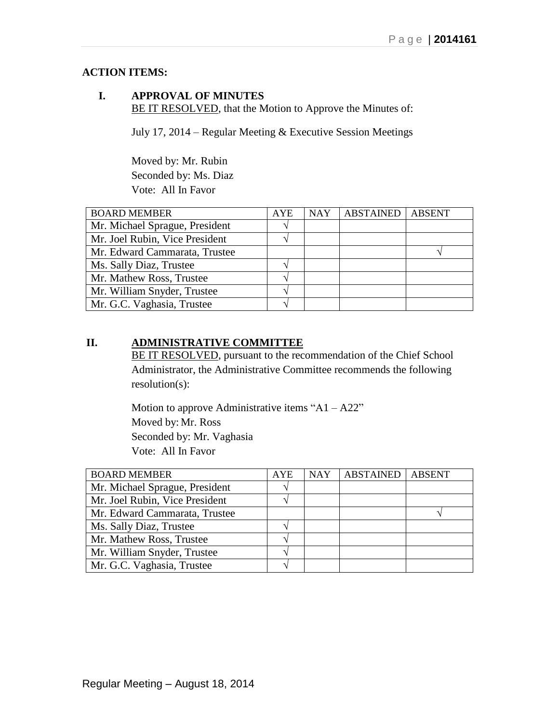## **ACTION ITEMS:**

## **I. APPROVAL OF MINUTES** BE IT RESOLVED, that the Motion to Approve the Minutes of:

July 17, 2014 – Regular Meeting & Executive Session Meetings

Moved by: Mr. Rubin Seconded by: Ms. Diaz Vote: All In Favor

| <b>BOARD MEMBER</b>            | <b>AYE</b> | <b>NAY</b> | <b>ABSTAINED ABSENT</b> |  |
|--------------------------------|------------|------------|-------------------------|--|
| Mr. Michael Sprague, President |            |            |                         |  |
| Mr. Joel Rubin, Vice President |            |            |                         |  |
| Mr. Edward Cammarata, Trustee  |            |            |                         |  |
| Ms. Sally Diaz, Trustee        |            |            |                         |  |
| Mr. Mathew Ross, Trustee       |            |            |                         |  |
| Mr. William Snyder, Trustee    |            |            |                         |  |
| Mr. G.C. Vaghasia, Trustee     |            |            |                         |  |

## **II. ADMINISTRATIVE COMMITTEE**

BE IT RESOLVED, pursuant to the recommendation of the Chief School Administrator, the Administrative Committee recommends the following resolution(s):

Motion to approve Administrative items "A1 – A22" Moved by: Mr. Ross Seconded by: Mr. Vaghasia Vote: All In Favor

| <b>BOARD MEMBER</b>            | <b>AYE</b> | <b>NAY</b> | ABSTAINED | <b>ABSENT</b> |
|--------------------------------|------------|------------|-----------|---------------|
| Mr. Michael Sprague, President |            |            |           |               |
| Mr. Joel Rubin, Vice President |            |            |           |               |
| Mr. Edward Cammarata, Trustee  |            |            |           |               |
| Ms. Sally Diaz, Trustee        |            |            |           |               |
| Mr. Mathew Ross, Trustee       |            |            |           |               |
| Mr. William Snyder, Trustee    |            |            |           |               |
| Mr. G.C. Vaghasia, Trustee     |            |            |           |               |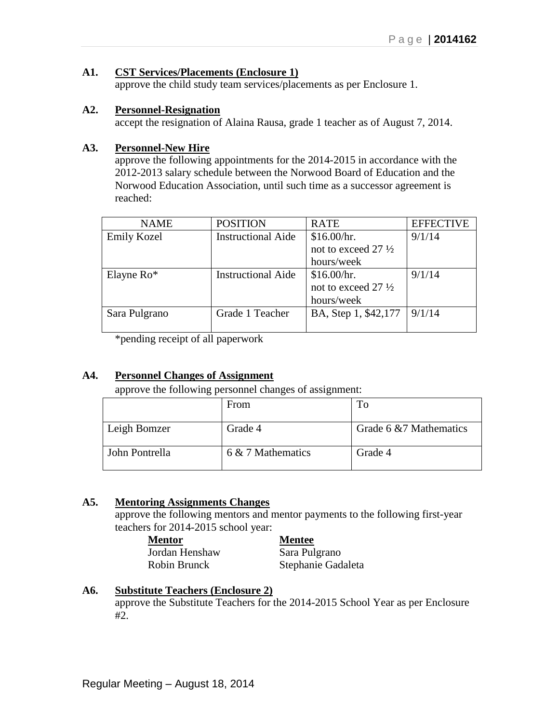## **A1. CST Services/Placements (Enclosure 1)**

approve the child study team services/placements as per Enclosure 1.

#### **A2. Personnel-Resignation**

accept the resignation of Alaina Rausa, grade 1 teacher as of August 7, 2014.

#### **A3. Personnel-New Hire**

approve the following appointments for the 2014-2015 in accordance with the 2012-2013 salary schedule between the Norwood Board of Education and the Norwood Education Association, until such time as a successor agreement is reached:

| <b>NAME</b>        | <b>POSITION</b>           | <b>RATE</b>                    | <b>EFFECTIVE</b> |
|--------------------|---------------------------|--------------------------------|------------------|
| <b>Emily Kozel</b> | <b>Instructional Aide</b> | \$16.00/hr.                    | 9/1/14           |
|                    |                           | not to exceed 27 1/2           |                  |
|                    |                           | hours/week                     |                  |
| Elayne $Ro^*$      | <b>Instructional Aide</b> | \$16.00/hr.                    | 9/1/14           |
|                    |                           | not to exceed 27 $\frac{1}{2}$ |                  |
|                    |                           | hours/week                     |                  |
| Sara Pulgrano      | Grade 1 Teacher           | BA, Step 1, \$42,177           | 9/1/14           |
|                    |                           |                                |                  |

\*pending receipt of all paperwork

#### **A4. Personnel Changes of Assignment**

approve the following personnel changes of assignment:

|                | From              | To                      |
|----------------|-------------------|-------------------------|
| Leigh Bomzer   | Grade 4           | Grade 6 & 7 Mathematics |
| John Pontrella | 6 & 7 Mathematics | Grade 4                 |

## **A5. Mentoring Assignments Changes**

approve the following mentors and mentor payments to the following first-year teachers for 2014-2015 school year:

**Mentor Mentee** Jordan Henshaw Sara Pulgrano

Robin Brunck Stephanie Gadaleta

## **A6. Substitute Teachers (Enclosure 2)**

approve the Substitute Teachers for the 2014-2015 School Year as per Enclosure #2.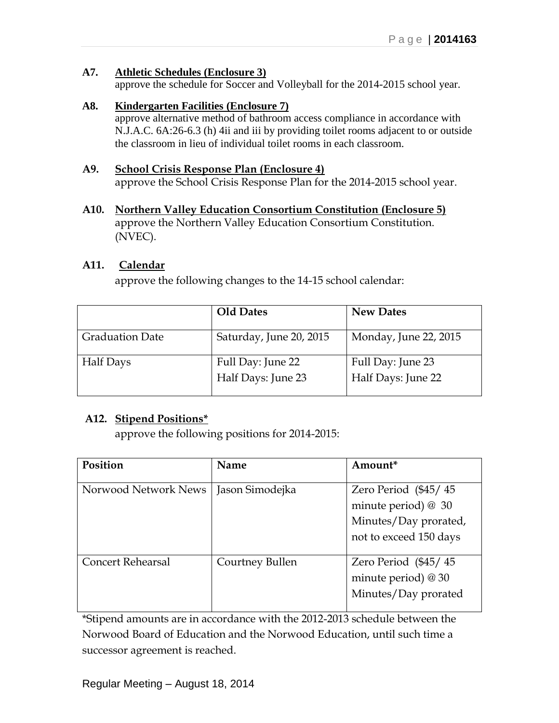## **A7. Athletic Schedules (Enclosure 3)**

approve the schedule for Soccer and Volleyball for the 2014-2015 school year.

## **A8. Kindergarten Facilities (Enclosure 7)**

approve alternative method of bathroom access compliance in accordance with N.J.A.C. 6A:26-6.3 (h) 4ii and iii by providing toilet rooms adjacent to or outside the classroom in lieu of individual toilet rooms in each classroom.

## **A9. School Crisis Response Plan (Enclosure 4)**

approve the School Crisis Response Plan for the 2014-2015 school year.

**A10. Northern Valley Education Consortium Constitution (Enclosure 5)** approve the Northern Valley Education Consortium Constitution. (NVEC).

## **A11. Calendar**

approve the following changes to the 14-15 school calendar:

|                        | <b>Old Dates</b>        | <b>New Dates</b>      |
|------------------------|-------------------------|-----------------------|
| <b>Graduation Date</b> | Saturday, June 20, 2015 | Monday, June 22, 2015 |
| <b>Half Days</b>       | Full Day: June 22       | Full Day: June 23     |
|                        | Half Days: June 23      | Half Days: June 22    |

## **A12. Stipend Positions\***

approve the following positions for 2014-2015:

| Position                 | <b>Name</b>     | Amount*                       |
|--------------------------|-----------------|-------------------------------|
|                          |                 |                               |
| Norwood Network News     | Jason Simodejka | Zero Period $(\frac{45}{45})$ |
|                          |                 | minute period) $@30$          |
|                          |                 | Minutes/Day prorated,         |
|                          |                 | not to exceed 150 days        |
| <b>Concert Rehearsal</b> | Courtney Bullen | Zero Period $(\frac{45}{45})$ |
|                          |                 | minute period) $@30$          |
|                          |                 | Minutes/Day prorated          |
|                          |                 |                               |

\*Stipend amounts are in accordance with the 2012-2013 schedule between the Norwood Board of Education and the Norwood Education, until such time a successor agreement is reached.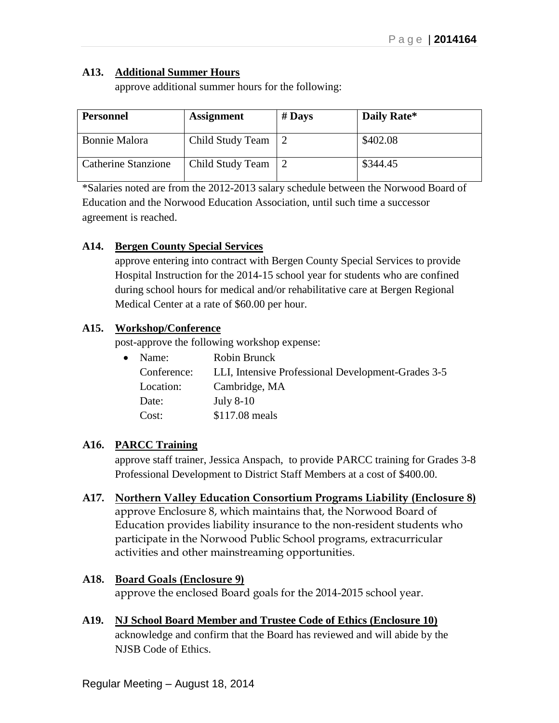## **A13. Additional Summer Hours**

approve additional summer hours for the following:

| <b>Personnel</b>    | <b>Assignment</b> | $#$ Days | Daily Rate* |
|---------------------|-------------------|----------|-------------|
| Bonnie Malora       | Child Study Team  |          | \$402.08    |
| Catherine Stanzione | Child Study Team  |          | \$344.45    |

\*Salaries noted are from the 2012-2013 salary schedule between the Norwood Board of Education and the Norwood Education Association, until such time a successor agreement is reached.

## **A14. Bergen County Special Services**

approve entering into contract with Bergen County Special Services to provide Hospital Instruction for the 2014-15 school year for students who are confined during school hours for medical and/or rehabilitative care at Bergen Regional Medical Center at a rate of \$60.00 per hour.

## **A15. Workshop/Conference**

post-approve the following workshop expense:

| $\bullet$ | Name:       | Robin Brunck                                       |
|-----------|-------------|----------------------------------------------------|
|           | Conference: | LLI, Intensive Professional Development-Grades 3-5 |
|           | Location:   | Cambridge, MA                                      |
|           | Date:       | <b>July 8-10</b>                                   |
|           | Cost:       | \$117.08 meals                                     |

## **A16. PARCC Training**

approve staff trainer, Jessica Anspach, to provide PARCC training for Grades 3-8 Professional Development to District Staff Members at a cost of \$400.00.

- **A17. Northern Valley Education Consortium Programs Liability (Enclosure 8)** approve Enclosure 8, which maintains that, the Norwood Board of Education provides liability insurance to the non-resident students who participate in the Norwood Public School programs, extracurricular activities and other mainstreaming opportunities.
- **A18. Board Goals (Enclosure 9)** approve the enclosed Board goals for the 2014-2015 school year.
- **A19. NJ School Board Member and Trustee Code of Ethics (Enclosure 10)** acknowledge and confirm that the Board has reviewed and will abide by the NJSB Code of Ethics.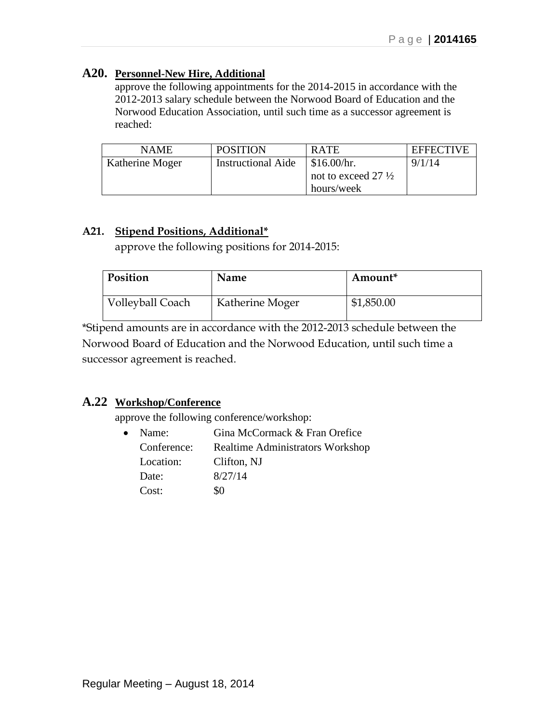## **A20. Personnel-New Hire, Additional**

approve the following appointments for the 2014-2015 in accordance with the 2012-2013 salary schedule between the Norwood Board of Education and the Norwood Education Association, until such time as a successor agreement is reached:

| <b>NAME</b>     | <b>POSITION</b>           | <b>RATE</b>                    | <b>EFFECTIVE</b> |
|-----------------|---------------------------|--------------------------------|------------------|
| Katherine Moger | <b>Instructional Aide</b> | $\frac{\$16.00}{hr}$ .         | 9/1/14           |
|                 |                           | not to exceed 27 $\frac{1}{2}$ |                  |
|                 |                           | hours/week                     |                  |

## **A21. Stipend Positions, Additional\***

approve the following positions for 2014-2015:

| Position         | Name            | Amount <sup>*</sup> |
|------------------|-----------------|---------------------|
| Volleyball Coach | Katherine Moger | \$1,850.00          |

\*Stipend amounts are in accordance with the 2012-2013 schedule between the Norwood Board of Education and the Norwood Education, until such time a successor agreement is reached.

## **A.22 Workshop/Conference**

approve the following conference/workshop:

| $\bullet$ | Name:       | Gina McCormack & Fran Orefice           |  |  |
|-----------|-------------|-----------------------------------------|--|--|
|           | Conference: | <b>Realtime Administrators Workshop</b> |  |  |
|           | Location:   | Clifton, NJ                             |  |  |
|           | Date:       | 8/27/14                                 |  |  |
|           | Cost:       | 80                                      |  |  |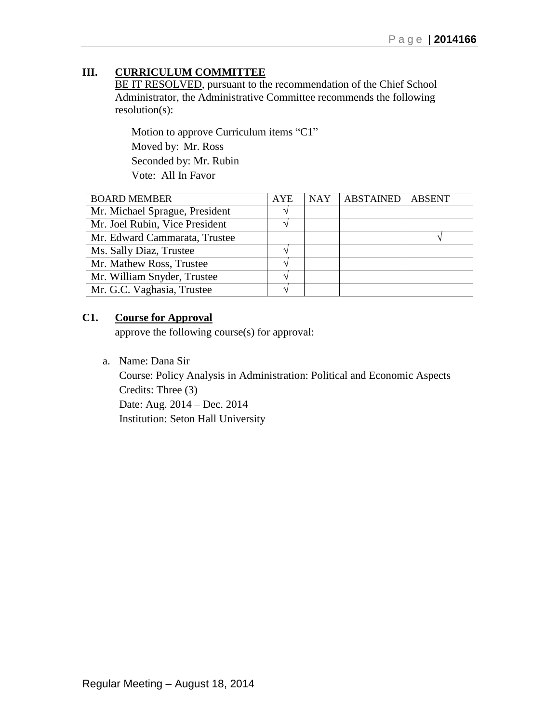## **III. CURRICULUM COMMITTEE**

BE IT RESOLVED, pursuant to the recommendation of the Chief School Administrator, the Administrative Committee recommends the following resolution(s):

Motion to approve Curriculum items "C1" Moved by: Mr. Ross Seconded by: Mr. Rubin Vote: All In Favor

| <b>BOARD MEMBER</b>            | <b>AYE</b> | <b>NAY</b> | <b>ABSTAINED</b> | <b>ABSENT</b> |
|--------------------------------|------------|------------|------------------|---------------|
| Mr. Michael Sprague, President |            |            |                  |               |
| Mr. Joel Rubin, Vice President |            |            |                  |               |
| Mr. Edward Cammarata, Trustee  |            |            |                  |               |
| Ms. Sally Diaz, Trustee        |            |            |                  |               |
| Mr. Mathew Ross, Trustee       |            |            |                  |               |
| Mr. William Snyder, Trustee    |            |            |                  |               |
| Mr. G.C. Vaghasia, Trustee     |            |            |                  |               |

## **C1. Course for Approval**

approve the following course(s) for approval:

a. Name: Dana Sir

Course: Policy Analysis in Administration: Political and Economic Aspects Credits: Three (3) Date: Aug. 2014 – Dec. 2014 Institution: Seton Hall University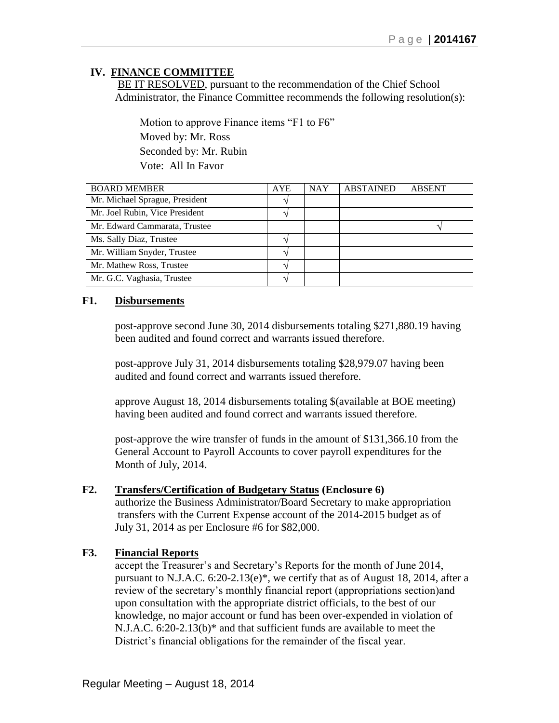## **IV. FINANCE COMMITTEE**

BE IT RESOLVED, pursuant to the recommendation of the Chief School Administrator, the Finance Committee recommends the following resolution(s):

 Motion to approve Finance items "F1 to F6" Moved by: Mr. Ross Seconded by: Mr. Rubin Vote: All In Favor

| <b>BOARD MEMBER</b>            | <b>AYE</b> | <b>NAY</b> | <b>ABSTAINED</b> | <b>ABSENT</b> |
|--------------------------------|------------|------------|------------------|---------------|
| Mr. Michael Sprague, President |            |            |                  |               |
| Mr. Joel Rubin, Vice President |            |            |                  |               |
| Mr. Edward Cammarata, Trustee  |            |            |                  |               |
| Ms. Sally Diaz, Trustee        |            |            |                  |               |
| Mr. William Snyder, Trustee    |            |            |                  |               |
| Mr. Mathew Ross, Trustee       |            |            |                  |               |
| Mr. G.C. Vaghasia, Trustee     |            |            |                  |               |

## **F1. Disbursements**

post-approve second June 30, 2014 disbursements totaling \$271,880.19 having been audited and found correct and warrants issued therefore.

post-approve July 31, 2014 disbursements totaling \$28,979.07 having been audited and found correct and warrants issued therefore.

approve August 18, 2014 disbursements totaling \$(available at BOE meeting) having been audited and found correct and warrants issued therefore.

post-approve the wire transfer of funds in the amount of \$131,366.10 from the General Account to Payroll Accounts to cover payroll expenditures for the Month of July, 2014.

#### **F2. Transfers/Certification of Budgetary Status (Enclosure 6)**

authorize the Business Administrator/Board Secretary to make appropriation transfers with the Current Expense account of the 2014-2015 budget as of July 31, 2014 as per Enclosure #6 for \$82,000.

## **F3. Financial Reports**

accept the Treasurer's and Secretary's Reports for the month of June 2014, pursuant to N.J.A.C.  $6:20-2.13(e)^*$ , we certify that as of August 18, 2014, after a review of the secretary's monthly financial report (appropriations section)and upon consultation with the appropriate district officials, to the best of our knowledge, no major account or fund has been over-expended in violation of N.J.A.C. 6:20-2.13(b)\* and that sufficient funds are available to meet the District's financial obligations for the remainder of the fiscal year.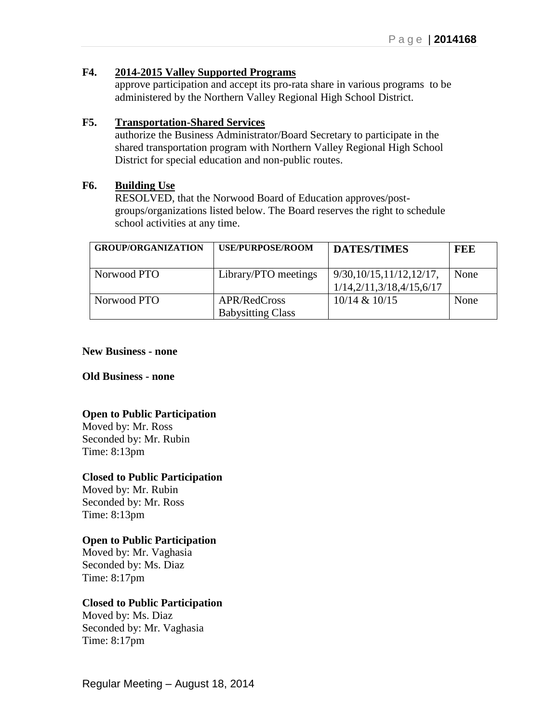#### **F4. 2014-2015 Valley Supported Programs**

approve participation and accept its pro-rata share in various programs to be administered by the Northern Valley Regional High School District.

## **F5. Transportation-Shared Services**

authorize the Business Administrator/Board Secretary to participate in the shared transportation program with Northern Valley Regional High School District for special education and non-public routes.

#### **F6. Building Use**

RESOLVED, that the Norwood Board of Education approves/postgroups/organizations listed below. The Board reserves the right to schedule school activities at any time.

| <b>GROUP/ORGANIZATION</b> | <b>USE/PURPOSE/ROOM</b>                  | <b>DATES/TIMES</b>                                     | FEE  |
|---------------------------|------------------------------------------|--------------------------------------------------------|------|
| Norwood PTO               | Library/PTO meetings                     | 9/30, 10/15, 11/12, 12/17,<br>1/14,2/11,3/18,4/15,6/17 | None |
| Norwood PTO               | APR/RedCross<br><b>Babysitting Class</b> | $10/14$ & $10/15$                                      | None |

#### **New Business - none**

#### **Old Business - none**

## **Open to Public Participation**

Moved by: Mr. Ross Seconded by: Mr. Rubin Time: 8:13pm

#### **Closed to Public Participation**

Moved by: Mr. Rubin Seconded by: Mr. Ross Time: 8:13pm

## **Open to Public Participation**

Moved by: Mr. Vaghasia Seconded by: Ms. Diaz Time: 8:17pm

## **Closed to Public Participation**

Moved by: Ms. Diaz Seconded by: Mr. Vaghasia Time: 8:17pm